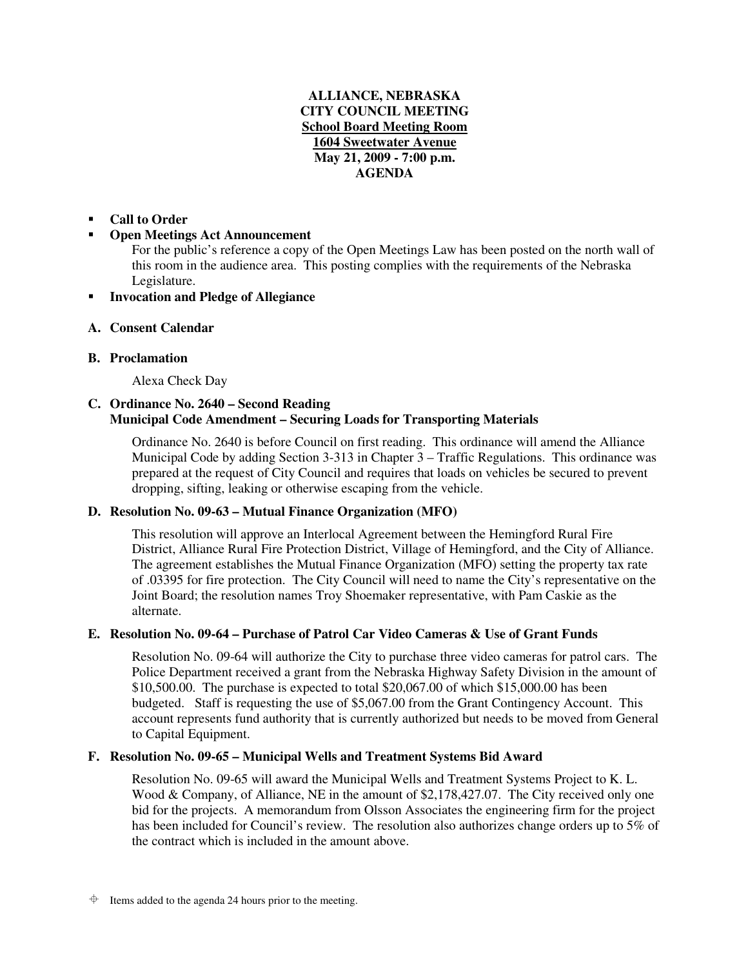# **ALLIANCE, NEBRASKA CITY COUNCIL MEETING School Board Meeting Room 1604 Sweetwater Avenue May 21, 2009 - 7:00 p.m. AGENDA**

#### -**Call to Order**

#### -**Open Meetings Act Announcement**

For the public's reference a copy of the Open Meetings Law has been posted on the north wall of this room in the audience area. This posting complies with the requirements of the Nebraska Legislature.

#### -**Invocation and Pledge of Allegiance**

## **A. Consent Calendar**

# **B. Proclamation**

Alexa Check Day

# **C. Ordinance No. 2640 – Second Reading Municipal Code Amendment – Securing Loads for Transporting Materials**

Ordinance No. 2640 is before Council on first reading. This ordinance will amend the Alliance Municipal Code by adding Section 3-313 in Chapter  $3$  – Traffic Regulations. This ordinance was prepared at the request of City Council and requires that loads on vehicles be secured to prevent dropping, sifting, leaking or otherwise escaping from the vehicle.

## **D. Resolution No. 09-63 – Mutual Finance Organization (MFO)**

This resolution will approve an Interlocal Agreement between the Hemingford Rural Fire District, Alliance Rural Fire Protection District, Village of Hemingford, and the City of Alliance. The agreement establishes the Mutual Finance Organization (MFO) setting the property tax rate of .03395 for fire protection. The City Council will need to name the City's representative on the Joint Board; the resolution names Troy Shoemaker representative, with Pam Caskie as the alternate.

# **E. Resolution No. 09-64 – Purchase of Patrol Car Video Cameras & Use of Grant Funds**

Resolution No. 09-64 will authorize the City to purchase three video cameras for patrol cars. The Police Department received a grant from the Nebraska Highway Safety Division in the amount of \$10,500.00. The purchase is expected to total \$20,067.00 of which \$15,000.00 has been budgeted. Staff is requesting the use of \$5,067.00 from the Grant Contingency Account. This account represents fund authority that is currently authorized but needs to be moved from General to Capital Equipment.

## **F. Resolution No. 09-65 – Municipal Wells and Treatment Systems Bid Award**

Resolution No. 09-65 will award the Municipal Wells and Treatment Systems Project to K. L. Wood & Company, of Alliance, NE in the amount of \$2,178,427.07. The City received only one bid for the projects. A memorandum from Olsson Associates the engineering firm for the project has been included for Council's review. The resolution also authorizes change orders up to 5% of the contract which is included in the amount above.